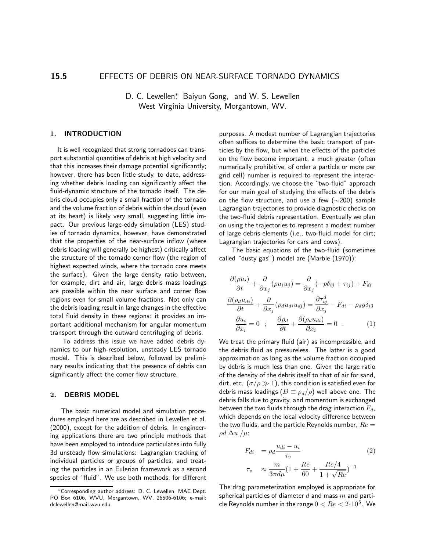# D. C. Lewellen<sup>\*</sup>, Baiyun Gong, and W. S. Lewellen West Virginia University, Morgantown, WV.

#### 1. INTRODUCTION

It is well recognized that strong tornadoes can transport substantial quantities of debris at high velocity and that this increases their damage potential significantly; however, there has been little study, to date, addressing whether debris loading can significantly affect the fluid-dynamic structure of the tornado itself. The debris cloud occupies only a small fraction of the tornado and the volume fraction of debris within the cloud (even at its heart) is likely very small, suggesting little impact. Our previous large-eddy simulation (LES) studies of tornado dynamics, however, have demonstrated that the properties of the near-surface inflow (where debris loading will generally be highest) critically affect the structure of the tornado corner flow (the region of highest expected winds, where the tornado core meets the surface). Given the large density ratio between, for example, dirt and air, large debris mass loadings are possible within the near surface and corner flow regions even for small volume fractions. Not only can the debris loading result in large changes in the effective total fluid density in these regions: it provides an important additional mechanism for angular momentum transport through the outward centrifuging of debris.

To address this issue we have added debris dynamics to our high-resolution, unsteady LES tornado model. This is described below, followed by preliminary results indicating that the presence of debris can significantly affect the corner flow structure.

#### 2. DEBRIS MODEL

The basic numerical model and simulation procedures employed here are as described in Lewellen et al. (2000), except for the addition of debris. In engineering applications there are two principle methods that have been employed to introduce particulates into fully 3d unsteady flow simulations: Lagrangian tracking of individual particles or groups of particles, and treating the particles in an Eulerian framework as a second species of "fluid". We use both methods, for different purposes. A modest number of Lagrangian trajectories often suffices to determine the basic transport of particles by the flow, but when the effects of the particles on the flow become important, a much greater (often numerically prohibitive, of order a particle or more per grid cell) number is required to represent the interaction. Accordingly, we choose the "two-fluid" approach for our main goal of studying the effects of the debris on the flow structure, and use a few (∼200) sample Lagrangian trajectories to provide diagnostic checks on the two-fluid debris representation. Eventually we plan on using the trajectories to represent a modest number of large debris elements (i.e., two-fluid model for dirt; Lagrangian trajectories for cars and cows).

The basic equations of the two-fluid (sometimes called "dusty gas") model are (Marble (1970)):

$$
\frac{\partial(\rho u_i)}{\partial t} + \frac{\partial}{\partial x_j}(\rho u_i u_j) = \frac{\partial}{\partial x_j}(-p\delta_{ij} + \tau_{ij}) + F_{di}
$$

$$
\frac{\partial(\rho_d u_{di})}{\partial t} + \frac{\partial}{\partial x_j}(\rho_d u_{di} u_{dj}) = \frac{\partial \tau_{ij}^d}{\partial x_j} - F_{di} - \rho_d g \delta_{i3}
$$

$$
\frac{\partial u_i}{\partial x_i} = 0 \quad ; \quad \frac{\partial \rho_d}{\partial t} + \frac{\partial(\rho_d u_{di})}{\partial x_i} = 0 \quad . \tag{1}
$$

We treat the primary fluid (air) as incompressible, and the debris fluid as pressureless. The latter is a good approximation as long as the volume fraction occupied by debris is much less than one. Given the large ratio of the density of the debris itself to that of air for sand, dirt, etc. ( $\sigma/\rho \gg 1$ ), this condition is satisfied even for debris mass loadings  $(D \equiv \rho_d/\rho)$  well above one. The debris falls due to gravity, and momentum is exchanged between the two fluids through the drag interaction  $F_d$ , which depends on the local velocity difference between the two fluids, and the particle Reynolds number,  $Re =$  $\rho d|\Delta u|/\mu$ :

$$
F_{di} = \rho_d \frac{u_{di} - u_i}{\tau_v}
$$
  
\n
$$
\tau_v \approx \frac{m}{3\pi d\mu} (1 + \frac{Re}{60} + \frac{Re/4}{1 + \sqrt{Re}})^{-1}
$$
 (2)

The drag parameterization employed is appropriate for spherical particles of diameter  $d$  and mass  $m$  and particle Reynolds number in the range  $0 < Re < 2 \cdot 10^5$ . We

<sup>∗</sup>Corresponding author address: D. C. Lewellen, MAE Dept. PO Box 6106, WVU, Morgantown, WV, 26506-6106; e-mail: dclewellen@mail.wvu.edu.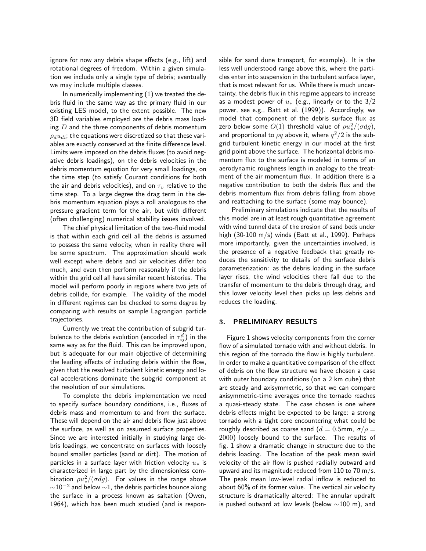ignore for now any debris shape effects (e.g., lift) and rotational degrees of freedom. Within a given simulation we include only a single type of debris; eventually we may include multiple classes.

In numerically implementing (1) we treated the debris fluid in the same way as the primary fluid in our existing LES model, to the extent possible. The new 3D field variables employed are the debris mass loading  $D$  and the three components of debris momentum  $\rho_d u_{di}$ ; the equations were discretized so that these variables are exactly conserved at the finite difference level. Limits were imposed on the debris fluxes (to avoid negative debris loadings), on the debris velocities in the debris momentum equation for very small loadings, on the time step (to satisfy Courant conditions for both the air and debris velocities), and on  $\tau_v$  relative to the time step. To a large degree the drag term in the debris momentum equation plays a roll analogous to the pressure gradient term for the air, but with different (often challenging) numerical stability issues involved.

The chief physical limitation of the two-fluid model is that within each grid cell all the debris is assumed to possess the same velocity, when in reality there will be some spectrum. The approximation should work well except where debris and air velocities differ too much, and even then perform reasonably if the debris within the grid cell all have similar recent histories. The model will perform poorly in regions where two jets of debris collide, for example. The validity of the model in different regimes can be checked to some degree by comparing with results on sample Lagrangian particle trajectories.

Currently we treat the contribution of subgrid turbulence to the debris evolution (encoded in  $\tau_{ij}^d)$  in the same way as for the fluid. This can be improved upon, but is adequate for our main objective of determining the leading effects of including debris within the flow, given that the resolved turbulent kinetic energy and local accelerations dominate the subgrid component at the resolution of our simulations.

To complete the debris implementation we need to specify surface boundary conditions, i.e., fluxes of debris mass and momentum to and from the surface. These will depend on the air and debris flow just above the surface, as well as on assumed surface properties. Since we are interested initially in studying large debris loadings, we concentrate on surfaces with loosely bound smaller particles (sand or dirt). The motion of particles in a surface layer with friction velocity  $u_*$  is characterized in large part by the dimensionless combination  $\rho u_{*}^{2}/(\sigma dg)$ . For values in the range above  $\sim$ 10<sup>-2</sup> and below  $\sim$ 1, the debris particles bounce along the surface in a process known as saltation (Owen, 1964), which has been much studied (and is responsible for sand dune transport, for example). It is the less well understood range above this, where the particles enter into suspension in the turbulent surface layer, that is most relevant for us. While there is much uncertainty, the debris flux in this regime appears to increase as a modest power of  $u_*$  (e.g., linearly or to the 3/2 power, see e.g., Batt et al. (1999)). Accordingly, we model that component of the debris surface flux as zero below some  $O(1)$  threshold value of  $\rho u_*^2/(\sigma dg)$ , and proportional to  $\overline{\rho q}$  above it, where  $q^2/2$  is the subgrid turbulent kinetic energy in our model at the first grid point above the surface. The horizontal debris momentum flux to the surface is modeled in terms of an aerodynamic roughness length in analogy to the treatment of the air momentum flux. In addition there is a negative contribution to both the debris flux and the debris momentum flux from debris falling from above and reattaching to the surface (some may bounce).

Preliminary simulations indicate that the results of this model are in at least rough quantitative agreement with wind tunnel data of the erosion of sand beds under high  $(30-100 \text{ m/s})$  winds  $(Batt et al., 1999)$ . Perhaps more importantly, given the uncertainties involved, is the presence of a negative feedback that greatly reduces the sensitivity to details of the surface debris parameterization: as the debris loading in the surface layer rises, the wind velocities there fall due to the transfer of momentum to the debris through drag, and this lower velocity level then picks up less debris and reduces the loading.

#### 3. PRELIMINARY RESULTS

Figure 1 shows velocity components from the corner flow of a simulated tornado with and without debris. In this region of the tornado the flow is highly turbulent. In order to make a quantitative comparison of the effect of debris on the flow structure we have chosen a case with outer boundary conditions (on a 2 km cube) that are steady and axisymmetric, so that we can compare axisymmetric-time averages once the tornado reaches a quasi-steady state. The case chosen is one where debris effects might be expected to be large: a strong tornado with a tight core encountering what could be roughly described as coarse sand ( $d = 0.5$ mm,  $\sigma/\rho =$ 2000) loosely bound to the surface. The results of fig. 1 show a dramatic change in structure due to the debris loading. The location of the peak mean swirl velocity of the air flow is pushed radially outward and upward and its magnitude reduced from 110 to 70 m/s. The peak mean low-level radial inflow is reduced to about 60% of its former value. The vertical air velocity structure is dramatically altered: The annular updraft is pushed outward at low levels (below ∼100 m), and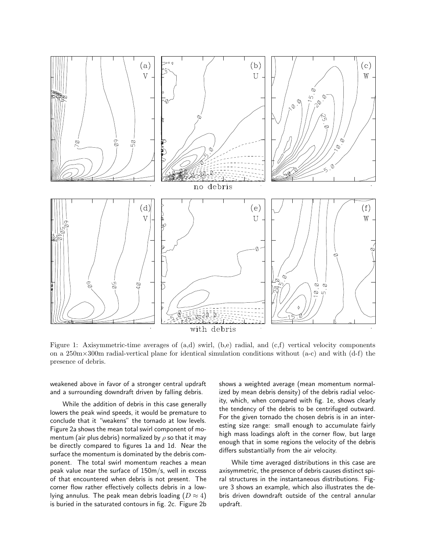

Figure 1: Axisymmetric-time averages of (a,d) swirl, (b,e) radial, and (c,f) vertical velocity components on a  $250 \text{m} \times 300 \text{m}$  radial-vertical plane for identical simulation conditions without (a-c) and with (d-f) the presence of debris.

weakened above in favor of a stronger central updraft and a surrounding downdraft driven by falling debris.

While the addition of debris in this case generally lowers the peak wind speeds, it would be premature to conclude that it "weakens" the tornado at low levels. Figure 2a shows the mean total swirl component of momentum (air plus debris) normalized by  $\rho$  so that it may be directly compared to figures 1a and 1d. Near the surface the momentum is dominated by the debris component. The total swirl momentum reaches a mean peak value near the surface of 150m/s, well in excess of that encountered when debris is not present. The corner flow rather effectively collects debris in a lowlying annulus. The peak mean debris loading  $(D \approx 4)$ is buried in the saturated contours in fig. 2c. Figure 2b shows a weighted average (mean momentum normalized by mean debris density) of the debris radial velocity, which, when compared with fig. 1e, shows clearly the tendency of the debris to be centrifuged outward. For the given tornado the chosen debris is in an interesting size range: small enough to accumulate fairly high mass loadings aloft in the corner flow, but large enough that in some regions the velocity of the debris differs substantially from the air velocity.

While time averaged distributions in this case are axisymmetric, the presence of debris causes distinct spiral structures in the instantaneous distributions. Figure 3 shows an example, which also illustrates the debris driven downdraft outside of the central annular updraft.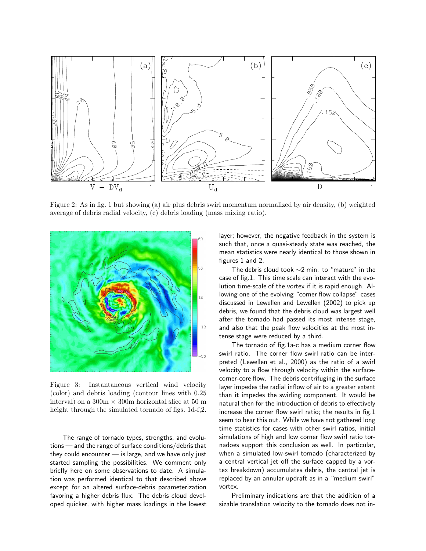

Figure 2: As in fig. 1 but showing (a) air plus debris swirl momentum normalized by air density, (b) weighted average of debris radial velocity, (c) debris loading (mass mixing ratio).



Figure 3: Instantaneous vertical wind velocity (color) and debris loading (contour lines with 0.25 interval) on a  $300m \times 300m$  horizontal slice at 50 m height through the simulated tornado of figs. 1d-f,2.

The range of tornado types, strengths, and evolutions — and the range of surface conditions/debris that they could encounter — is large, and we have only just started sampling the possibilities. We comment only briefly here on some observations to date. A simulation was performed identical to that described above except for an altered surface-debris parameterization favoring a higher debris flux. The debris cloud developed quicker, with higher mass loadings in the lowest layer; however, the negative feedback in the system is such that, once a quasi-steady state was reached, the mean statistics were nearly identical to those shown in figures 1 and 2.

The debris cloud took ∼2 min. to "mature" in the case of fig.1. This time scale can interact with the evolution time-scale of the vortex if it is rapid enough. Allowing one of the evolving "corner flow collapse" cases discussed in Lewellen and Lewellen (2002) to pick up debris, we found that the debris cloud was largest well after the tornado had passed its most intense stage, and also that the peak flow velocities at the most intense stage were reduced by a third.

The tornado of fig.1a-c has a medium corner flow swirl ratio. The corner flow swirl ratio can be interpreted (Lewellen et al., 2000) as the ratio of a swirl velocity to a flow through velocity within the surfacecorner-core flow. The debris centrifuging in the surface layer impedes the radial inflow of air to a greater extent than it impedes the swirling component. It would be natural then for the introduction of debris to effectively increase the corner flow swirl ratio; the results in fig.1 seem to bear this out. While we have not gathered long time statistics for cases with other swirl ratios, initial simulations of high and low corner flow swirl ratio tornadoes support this conclusion as well. In particular, when a simulated low-swirl tornado (characterized by a central vertical jet off the surface capped by a vortex breakdown) accumulates debris, the central jet is replaced by an annular updraft as in a "medium swirl" vortex.

Preliminary indications are that the addition of a sizable translation velocity to the tornado does not in-